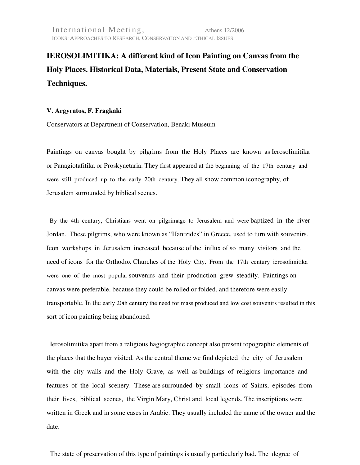## **IEROSOLIMITIKA: A different kind of Icon Painting on Canvas from the Holy Places. Historical Data, Materials, Present State and Conservation Techniques.**

## **V. Argyratos, F. Fragkaki**

Conservators at Department of Conservation, Benaki Museum

Paintings on canvas bought by pilgrims from the Holy Places are known as Ierosolimitika or Panagiotafitika or Proskynetaria. They first appeared at the beginning of the 17th century and were still produced up to the early 20th century. They all show common iconography, of Jerusalem surrounded by biblical scenes.

 By the 4th century, Christians went on pilgrimage to Jerusalem and were baptized in the river Jordan. These pilgrims, who were known as "Hantzides" in Greece, used to turn with souvenirs. Icon workshops in Jerusalem increased because of the influx of so many visitors and the need of icons for the Orthodox Churches of the Holy City. From the 17th century ierosolimitika were one of the most popular souvenirs and their production grew steadily. Paintings on canvas were preferable, because they could be rolled or folded, and therefore were easily transportable. In the early 20th century the need for mass produced and low cost souvenirs resulted in this sort of icon painting being abandoned.

 Ierosolimitika apart from a religious hagiographic concept also present topographic elements of the places that the buyer visited. As the central theme we find depicted the city of Jerusalem with the city walls and the Holy Grave, as well as buildings of religious importance and features of the local scenery. These are surrounded by small icons of Saints, episodes from their lives, biblical scenes, the Virgin Mary, Christ and local legends. The inscriptions were written in Greek and in some cases in Arabic. They usually included the name of the owner and the date.

The state of preservation of this type of paintings is usually particularly bad. The degree of